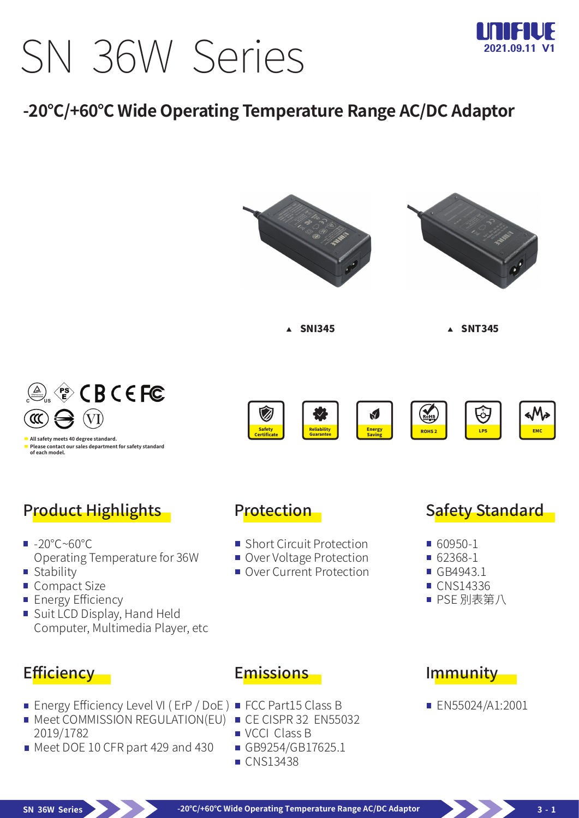# SN 36W Series



## **-20℃/+60℃ Wide Operating Temperature Range AC/DC Adaptor**

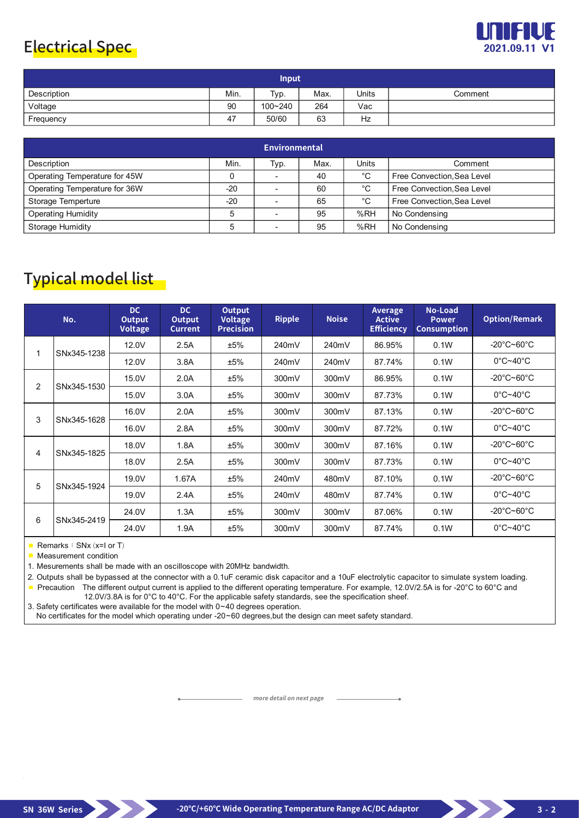#### Electrical Spec **2021.09.11 V1**



| <b>Input</b> |      |         |      |              |         |  |  |  |
|--------------|------|---------|------|--------------|---------|--|--|--|
| Description  | Min. | Typ.    | Max. | <b>Units</b> | Comment |  |  |  |
| Voltage      | 90   | 100~240 | 264  | Vac          |         |  |  |  |
| Frequency    | 47   | 50/60   | 63   | Hz           |         |  |  |  |

| Environmental                 |       |      |      |       |                            |  |  |  |
|-------------------------------|-------|------|------|-------|----------------------------|--|--|--|
| Description                   | Min.  | Typ. | Max. | Units | Comment                    |  |  |  |
| Operating Temperature for 45W |       |      | 40   | °C    | Free Convection, Sea Level |  |  |  |
| Operating Temperature for 36W | $-20$ |      | 60   | °C    | Free Convection, Sea Level |  |  |  |
| Storage Temperture            | $-20$ |      | 65   | °C    | Free Convection, Sea Level |  |  |  |
| <b>Operating Humidity</b>     |       |      | 95   | %RH   | No Condensing              |  |  |  |
| Storage Humidity              | 5     |      | 95   | %RH   | No Condensing              |  |  |  |

## Typical model list

|   | No.         | DC<br>Output<br>Voltage | <b>DC</b><br>Output<br><b>Current</b> | <b>Output</b><br><b>Voltage</b><br><b>Precision</b> | <b>Ripple</b> | <b>Noise</b> | Average<br><b>Active</b><br><b>Efficiency</b> | No-Load<br><b>Power</b><br><b>Consumption</b> | <b>Option/Remark</b>                   |
|---|-------------|-------------------------|---------------------------------------|-----------------------------------------------------|---------------|--------------|-----------------------------------------------|-----------------------------------------------|----------------------------------------|
|   | SNx345-1238 | 12.0V                   | 2.5A                                  | ±5%                                                 | 240mV         | 240mV        | 86.95%                                        | 0.1W                                          | -20 $\degree$ C~60 $\degree$ C         |
|   |             | 12.0V                   | 3.8A                                  | ±5%                                                 | 240mV         | 240mV        | 87.74%                                        | 0.1W                                          | $0^{\circ}$ C~40 $^{\circ}$ C          |
| 2 | SNx345-1530 | 15.0V                   | 2.0A                                  | ±5%                                                 | 300mV         | 300mV        | 86.95%                                        | 0.1W                                          | $-20^{\circ}$ C~60 $^{\circ}$ C        |
|   |             | 15.0V                   | 3.0A                                  | ±5%                                                 | 300mV         | 300mV        | 87.73%                                        | 0.1W                                          | $0^{\circ}$ C~40 $^{\circ}$ C          |
| 3 | SNx345-1628 | 16.0V                   | 2.0A                                  | ±5%                                                 | 300mV         | 300mV        | 87.13%                                        | 0.1W                                          | $-20^{\circ}$ C $\sim$ 60 $^{\circ}$ C |
|   |             | 16.0V                   | 2.8A                                  | ±5%                                                 | 300mV         | 300mV        | 87.72%                                        | 0.1W                                          | $0^{\circ}$ C~40 $^{\circ}$ C          |
| 4 | SNx345-1825 | 18.0V                   | 1.8A                                  | ±5%                                                 | 300mV         | 300mV        | 87.16%                                        | 0.1W                                          | $-20^{\circ}$ C $\sim$ 60 $^{\circ}$ C |
|   |             | 18.0V                   | 2.5A                                  | ±5%                                                 | 300mV         | 300mV        | 87.73%                                        | 0.1W                                          | $0^{\circ}$ C~40 $^{\circ}$ C          |
| 5 | SNx345-1924 | 19.0V                   | 1.67A                                 | ±5%                                                 | 240mV         | 480mV        | 87.10%                                        | 0.1W                                          | $-20^{\circ}$ C $\sim$ 60 $^{\circ}$ C |
|   |             | 19.0V                   | 2.4A                                  | ±5%                                                 | 240mV         | 480mV        | 87.74%                                        | 0.1W                                          | $0^{\circ}$ C~40 $^{\circ}$ C          |
| 6 | SNx345-2419 | 24.0V                   | 1.3A                                  | ±5%                                                 | 300mV         | 300mV        | 87.06%                                        | 0.1W                                          | $-20^{\circ}$ C $\sim$ 60 $^{\circ}$ C |
|   |             | 24.0V                   | 1.9A                                  | ±5%                                                 | 300mV         | 300mV        | 87.74%                                        | 0.1W                                          | $0^{\circ}$ C~40 $^{\circ}$ C          |

Remarks:  $SNx$  (x=I or T)

**Measurement condition** 

1. Mesurements shall be made with an oscilloscope with 20MHz bandwidth.

2. Outputs shall be bypassed at the connector with a 0.1uF ceramic disk capacitor and a 10uF electrolytic capacitor to simulate system loading. Precaution The different output current is applied to the different operating temperature. For example, 12.0V/2.5A is for -20°C to 60°C and

12.0V/3.8A is for 0°C to 40°C. For the applicable safety standards, see the specification sheef.

3. Safety certificates were available for the model with 0~40 degrees operation.

No certificates for the model which operating under -20~60 degrees, but the design can meet safety standard.

**more detail on next page**